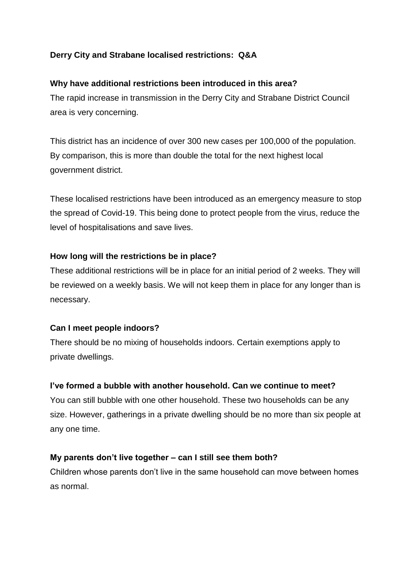# **Derry City and Strabane localised restrictions: Q&A**

### **Why have additional restrictions been introduced in this area?**

The rapid increase in transmission in the Derry City and Strabane District Council area is very concerning.

This district has an incidence of over 300 new cases per 100,000 of the population. By comparison, this is more than double the total for the next highest local government district.

These localised restrictions have been introduced as an emergency measure to stop the spread of Covid-19. This being done to protect people from the virus, reduce the level of hospitalisations and save lives.

### **How long will the restrictions be in place?**

These additional restrictions will be in place for an initial period of 2 weeks. They will be reviewed on a weekly basis. We will not keep them in place for any longer than is necessary.

### **Can I meet people indoors?**

There should be no mixing of households indoors. Certain exemptions apply to private dwellings.

### **I've formed a bubble with another household. Can we continue to meet?**

You can still bubble with one other household. These two households can be any size. However, gatherings in a private dwelling should be no more than six people at any one time.

### **My parents don't live together – can I still see them both?**

Children whose parents don't live in the same household can move between homes as normal.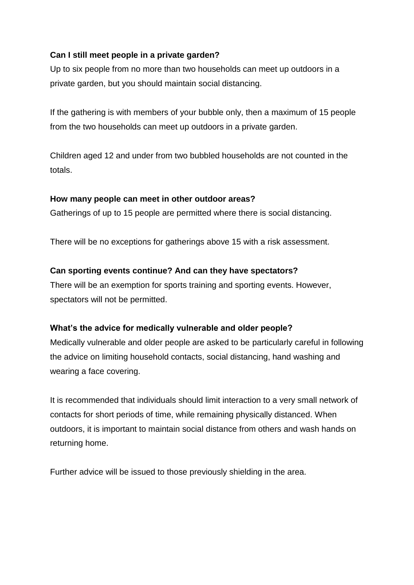# **Can I still meet people in a private garden?**

Up to six people from no more than two households can meet up outdoors in a private garden, but you should maintain social distancing.

If the gathering is with members of your bubble only, then a maximum of 15 people from the two households can meet up outdoors in a private garden.

Children aged 12 and under from two bubbled households are not counted in the totals.

### **How many people can meet in other outdoor areas?**

Gatherings of up to 15 people are permitted where there is social distancing.

There will be no exceptions for gatherings above 15 with a risk assessment.

### **Can sporting events continue? And can they have spectators?**

There will be an exemption for sports training and sporting events. However, spectators will not be permitted.

### **What's the advice for medically vulnerable and older people?**

Medically vulnerable and older people are asked to be particularly careful in following the advice on limiting household contacts, social distancing, hand washing and wearing a face covering.

It is recommended that individuals should limit interaction to a very small network of contacts for short periods of time, while remaining physically distanced. When outdoors, it is important to maintain social distance from others and wash hands on returning home.

Further advice will be issued to those previously shielding in the area.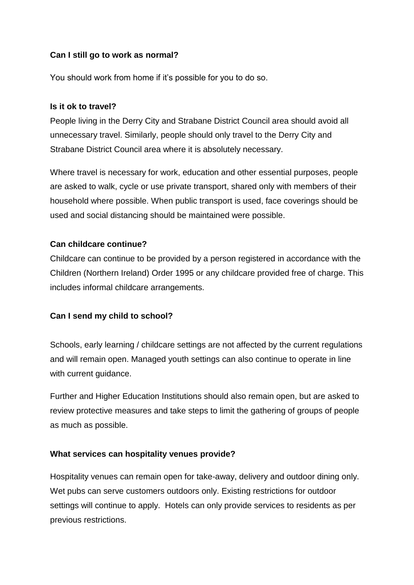# **Can I still go to work as normal?**

You should work from home if it's possible for you to do so.

### **Is it ok to travel?**

People living in the Derry City and Strabane District Council area should avoid all unnecessary travel. Similarly, people should only travel to the Derry City and Strabane District Council area where it is absolutely necessary.

Where travel is necessary for work, education and other essential purposes, people are asked to walk, cycle or use private transport, shared only with members of their household where possible. When public transport is used, face coverings should be used and social distancing should be maintained were possible.

### **Can childcare continue?**

Childcare can continue to be provided by a person registered in accordance with the Children (Northern Ireland) Order 1995 or any childcare provided free of charge. This includes informal childcare arrangements.

### **Can I send my child to school?**

Schools, early learning / childcare settings are not affected by the current regulations and will remain open. Managed youth settings can also continue to operate in line with current guidance.

Further and Higher Education Institutions should also remain open, but are asked to review protective measures and take steps to limit the gathering of groups of people as much as possible.

### **What services can hospitality venues provide?**

Hospitality venues can remain open for take-away, delivery and outdoor dining only. Wet pubs can serve customers outdoors only. Existing restrictions for outdoor settings will continue to apply. Hotels can only provide services to residents as per previous restrictions.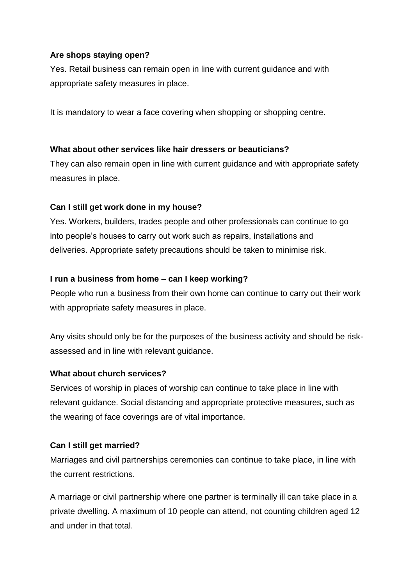### **Are shops staying open?**

Yes. Retail business can remain open in line with current guidance and with appropriate safety measures in place.

It is mandatory to wear a face covering when shopping or shopping centre.

#### **What about other services like hair dressers or beauticians?**

They can also remain open in line with current guidance and with appropriate safety measures in place.

### **Can I still get work done in my house?**

Yes. Workers, builders, trades people and other professionals can continue to go into people's houses to carry out work such as repairs, installations and deliveries. Appropriate safety precautions should be taken to minimise risk.

### **I run a business from home – can I keep working?**

People who run a business from their own home can continue to carry out their work with appropriate safety measures in place.

Any visits should only be for the purposes of the business activity and should be riskassessed and in line with relevant guidance.

#### **What about church services?**

Services of worship in places of worship can continue to take place in line with relevant guidance. Social distancing and appropriate protective measures, such as the wearing of face coverings are of vital importance.

### **Can I still get married?**

Marriages and civil partnerships ceremonies can continue to take place, in line with the current restrictions.

A marriage or civil partnership where one partner is terminally ill can take place in a private dwelling. A maximum of 10 people can attend, not counting children aged 12 and under in that total.